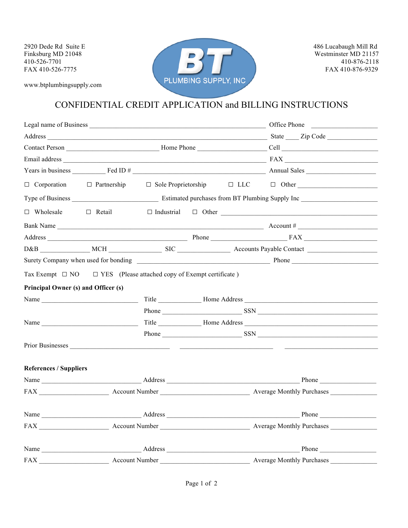www.btplumbingsupply.com



## CONFIDENTIAL CREDIT APPLICATION and BILLING INSTRUCTIONS

| $\Box$ Corporation $\Box$ Partnership                                                                                                                                                                                          |                |  |  |  | $\Box$ Sole Proprietorship $\Box$ LLC $\Box$ Other                                                                                                                                                                             |
|--------------------------------------------------------------------------------------------------------------------------------------------------------------------------------------------------------------------------------|----------------|--|--|--|--------------------------------------------------------------------------------------------------------------------------------------------------------------------------------------------------------------------------------|
|                                                                                                                                                                                                                                |                |  |  |  |                                                                                                                                                                                                                                |
| $\Box$ Wholesale                                                                                                                                                                                                               | $\Box$ Retail  |  |  |  |                                                                                                                                                                                                                                |
|                                                                                                                                                                                                                                |                |  |  |  |                                                                                                                                                                                                                                |
|                                                                                                                                                                                                                                |                |  |  |  |                                                                                                                                                                                                                                |
|                                                                                                                                                                                                                                |                |  |  |  |                                                                                                                                                                                                                                |
| Surety Company when used for bonding example and the state of the state of the state of the state of the state of the state of the state of the state of the state of the state of the state of the state of the state of the  |                |  |  |  |                                                                                                                                                                                                                                |
| Tax Exempt $\Box$ NO $\Box$ YES (Please attached copy of Exempt certificate)                                                                                                                                                   |                |  |  |  |                                                                                                                                                                                                                                |
| Principal Owner (s) and Officer (s)                                                                                                                                                                                            |                |  |  |  |                                                                                                                                                                                                                                |
| Name and the state of the state of the state of the state of the state of the state of the state of the state of the state of the state of the state of the state of the state of the state of the state of the state of the s |                |  |  |  |                                                                                                                                                                                                                                |
|                                                                                                                                                                                                                                |                |  |  |  | Phone SSN SSN SSN SSN STREET                                                                                                                                                                                                   |
| Name                                                                                                                                                                                                                           |                |  |  |  |                                                                                                                                                                                                                                |
|                                                                                                                                                                                                                                |                |  |  |  |                                                                                                                                                                                                                                |
|                                                                                                                                                                                                                                |                |  |  |  |                                                                                                                                                                                                                                |
|                                                                                                                                                                                                                                |                |  |  |  |                                                                                                                                                                                                                                |
| <b>References / Suppliers</b>                                                                                                                                                                                                  |                |  |  |  |                                                                                                                                                                                                                                |
|                                                                                                                                                                                                                                |                |  |  |  | Name https://www.com/documents/community/community/community/community/community/community/community/community/community/community/community/community/community/community/community/community/community/community/community/c |
|                                                                                                                                                                                                                                |                |  |  |  |                                                                                                                                                                                                                                |
|                                                                                                                                                                                                                                |                |  |  |  |                                                                                                                                                                                                                                |
|                                                                                                                                                                                                                                |                |  |  |  |                                                                                                                                                                                                                                |
|                                                                                                                                                                                                                                |                |  |  |  | Name Phone Phone Phone Phone Phone Phone Phone Phone Phone Phone Phone Phone Phone Phone Phone Phone Phone Phone Phone Phone Phone Phone Phone Phone Phone Phone Phone Phone Phone Phone Phone Phone Phone Phone Phone Phone P |
| <b>FAX</b>                                                                                                                                                                                                                     | Account Number |  |  |  | Average Monthly Purchases                                                                                                                                                                                                      |